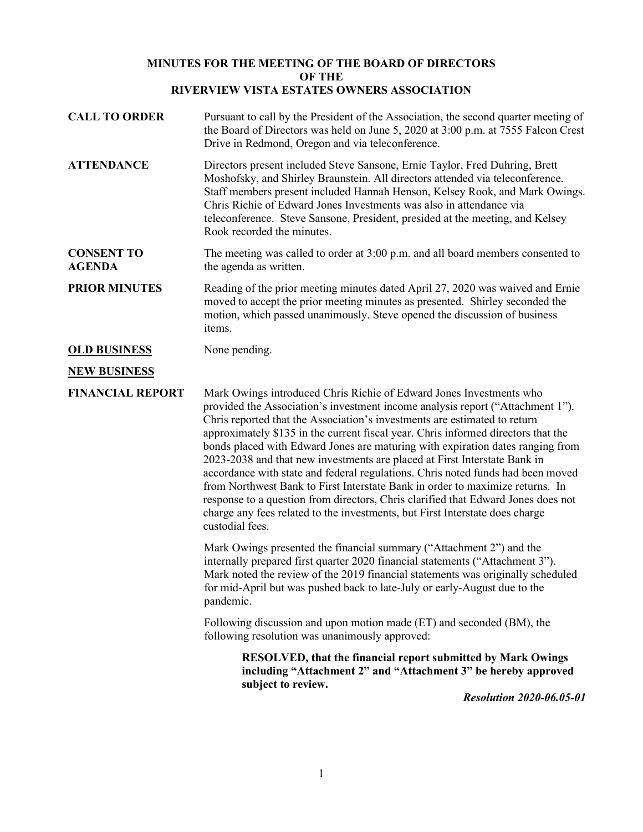## **MINUTES FOR THE MEETING OF THE BOARD OF DIRECTORS OF THE RIVERVIEW VISTA ESTATES OWNERS ASSOCIATION**

| <b>CALL TO ORDER</b><br><b>ATTENDANCE</b> | Pursuant to call by the President of the Association, the second quarter meeting of<br>the Board of Directors was held on June 5, 2020 at 3:00 p.m. at 7555 Falcon Crest<br>Drive in Redmond, Oregon and via teleconference.<br>Directors present included Steve Sansone, Ernie Taylor, Fred Duhring, Brett                                                                                                                                                                                                                                                                                                                                                                                                                                                                                                                                        |
|-------------------------------------------|----------------------------------------------------------------------------------------------------------------------------------------------------------------------------------------------------------------------------------------------------------------------------------------------------------------------------------------------------------------------------------------------------------------------------------------------------------------------------------------------------------------------------------------------------------------------------------------------------------------------------------------------------------------------------------------------------------------------------------------------------------------------------------------------------------------------------------------------------|
|                                           | Moshofsky, and Shirley Braunstein. All directors attended via teleconference.<br>Staff members present included Hannah Henson, Kelsey Rook, and Mark Owings.<br>Chris Richie of Edward Jones Investments was also in attendance via<br>teleconference. Steve Sansone, President, presided at the meeting, and Kelsey<br>Rook recorded the minutes.                                                                                                                                                                                                                                                                                                                                                                                                                                                                                                 |
| <b>CONSENT TO</b><br><b>AGENDA</b>        | The meeting was called to order at 3:00 p.m. and all board members consented to<br>the agenda as written.                                                                                                                                                                                                                                                                                                                                                                                                                                                                                                                                                                                                                                                                                                                                          |
| <b>PRIOR MINUTES</b>                      | Reading of the prior meeting minutes dated April 27, 2020 was waived and Ernie<br>moved to accept the prior meeting minutes as presented. Shirley seconded the<br>motion, which passed unanimously. Steve opened the discussion of business<br>items.                                                                                                                                                                                                                                                                                                                                                                                                                                                                                                                                                                                              |
| <b>OLD BUSINESS</b>                       | None pending.                                                                                                                                                                                                                                                                                                                                                                                                                                                                                                                                                                                                                                                                                                                                                                                                                                      |
| <b>NEW BUSINESS</b>                       |                                                                                                                                                                                                                                                                                                                                                                                                                                                                                                                                                                                                                                                                                                                                                                                                                                                    |
| <b>FINANCIAL REPORT</b>                   | Mark Owings introduced Chris Richie of Edward Jones Investments who<br>provided the Association's investment income analysis report ("Attachment 1").<br>Chris reported that the Association's investments are estimated to return<br>approximately \$135 in the current fiscal year. Chris informed directors that the<br>bonds placed with Edward Jones are maturing with expiration dates ranging from<br>2023-2038 and that new investments are placed at First Interstate Bank in<br>accordance with state and federal regulations. Chris noted funds had been moved<br>from Northwest Bank to First Interstate Bank in order to maximize returns. In<br>response to a question from directors, Chris clarified that Edward Jones does not<br>charge any fees related to the investments, but First Interstate does charge<br>custodial fees. |
|                                           | Mark Owings presented the financial summary ("Attachment 2") and the<br>internally prepared first quarter 2020 financial statements ("Attachment 3").<br>Mark noted the review of the 2019 financial statements was originally scheduled<br>for mid-April but was pushed back to late-July or early-August due to the<br>pandemic.                                                                                                                                                                                                                                                                                                                                                                                                                                                                                                                 |
|                                           | Following discussion and upon motion made (ET) and seconded (BM), the<br>following resolution was unanimously approved:                                                                                                                                                                                                                                                                                                                                                                                                                                                                                                                                                                                                                                                                                                                            |
|                                           | RESOLVED, that the financial report submitted by Mark Owings<br>including "Attachment 2" and "Attachment 3" be hereby approved<br>subject to review.<br>2020000000000                                                                                                                                                                                                                                                                                                                                                                                                                                                                                                                                                                                                                                                                              |

*Resolution 2020-06.05-01*